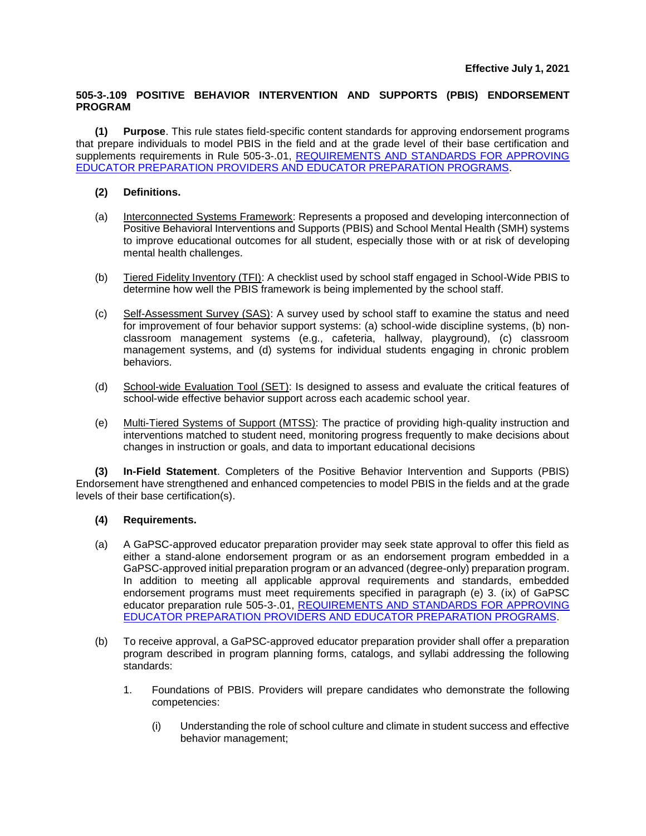## **505-3-.109 POSITIVE BEHAVIOR INTERVENTION AND SUPPORTS (PBIS) ENDORSEMENT PROGRAM**

**(1) Purpose**. This rule states field-specific content standards for approving endorsement programs that prepare individuals to model PBIS in the field and at the grade level of their base certification and supplements requirements in Rule 505-3-.01, [REQUIREMENTS AND STANDARDS FOR APPROVING](https://www.gapsc.com/Rules/Current/EducatorPreparation/505-3-.01.pdf?dt=%3C%25#Eval()  [EDUCATOR PREPARATION PROVIDERS AND EDUCATOR PREPARATION PROGRAMS.](https://www.gapsc.com/Rules/Current/EducatorPreparation/505-3-.01.pdf?dt=%3C%25#Eval()

## **(2) Definitions.**

- (a) Interconnected Systems Framework: Represents a proposed and developing interconnection of Positive Behavioral Interventions and Supports (PBIS) and School Mental Health (SMH) systems to improve educational outcomes for all student, especially those with or at risk of developing mental health challenges.
- (b) Tiered Fidelity Inventory (TFI): A checklist used by school staff engaged in School-Wide PBIS to determine how well the PBIS framework is being implemented by the school staff.
- (c) Self-Assessment Survey (SAS): A survey used by school staff to examine the status and need for improvement of four behavior support systems: (a) school-wide discipline systems, (b) nonclassroom management systems (e.g., cafeteria, hallway, playground), (c) classroom management systems, and (d) systems for individual students engaging in chronic problem behaviors.
- (d) School-wide Evaluation Tool (SET): Is designed to assess and evaluate the critical features of school-wide effective behavior support across each academic school year.
- (e) Multi-Tiered Systems of Support (MTSS): The practice of providing high-quality instruction and interventions matched to student need, monitoring progress frequently to make decisions about changes in instruction or goals, and data to important educational decisions

**(3) In-Field Statement**. Completers of the Positive Behavior Intervention and Supports (PBIS) Endorsement have strengthened and enhanced competencies to model PBIS in the fields and at the grade levels of their base certification(s).

## **(4) Requirements.**

- (a) A GaPSC-approved educator preparation provider may seek state approval to offer this field as either a stand-alone endorsement program or as an endorsement program embedded in a GaPSC-approved initial preparation program or an advanced (degree-only) preparation program. In addition to meeting all applicable approval requirements and standards, embedded endorsement programs must meet requirements specified in paragraph (e) 3. (ix) of GaPSC educator preparation rule 505-3-.01, [REQUIREMENTS AND STANDARDS FOR APPROVING](https://www.gapsc.com/Rules/Current/EducatorPreparation/505-3-.01.pdf?dt=%3C%25#Eval()  [EDUCATOR PREPARATION PROVIDERS AND EDUCATOR PREPARATION PROGRAMS.](https://www.gapsc.com/Rules/Current/EducatorPreparation/505-3-.01.pdf?dt=%3C%25#Eval()
- (b) To receive approval, a GaPSC-approved educator preparation provider shall offer a preparation program described in program planning forms, catalogs, and syllabi addressing the following standards:
	- 1. Foundations of PBIS. Providers will prepare candidates who demonstrate the following competencies:
		- (i) Understanding the role of school culture and climate in student success and effective behavior management;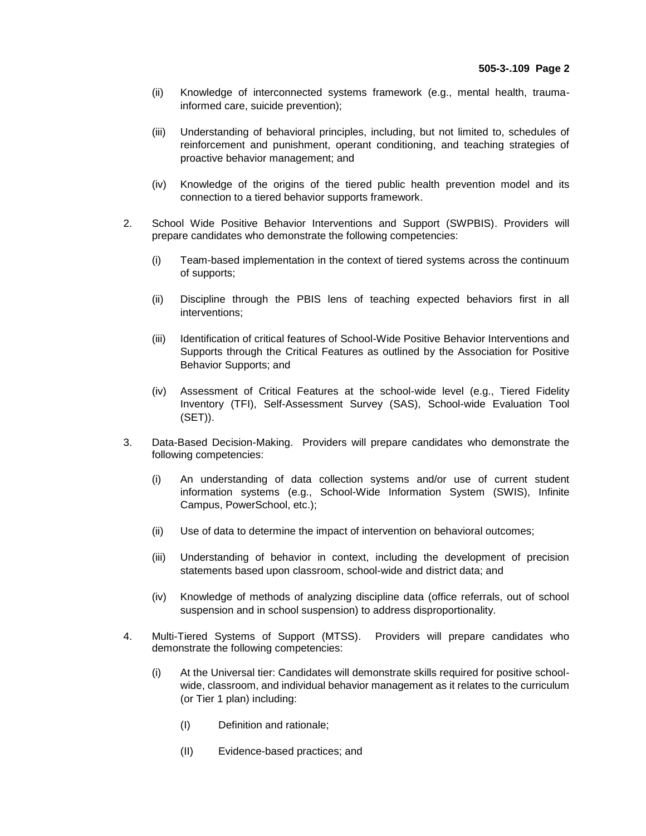- (ii) Knowledge of interconnected systems framework (e.g., mental health, traumainformed care, suicide prevention);
- (iii) Understanding of behavioral principles, including, but not limited to, schedules of reinforcement and punishment, operant conditioning, and teaching strategies of proactive behavior management; and
- (iv) Knowledge of the origins of the tiered public health prevention model and its connection to a tiered behavior supports framework.
- 2. School Wide Positive Behavior Interventions and Support (SWPBIS). Providers will prepare candidates who demonstrate the following competencies:
	- (i) Team-based implementation in the context of tiered systems across the continuum of supports;
	- (ii) Discipline through the PBIS lens of teaching expected behaviors first in all interventions;
	- (iii) Identification of critical features of School-Wide Positive Behavior Interventions and Supports through the Critical Features as outlined by the Association for Positive Behavior Supports; and
	- (iv) Assessment of Critical Features at the school-wide level (e.g., Tiered Fidelity Inventory (TFI), Self-Assessment Survey (SAS), School-wide Evaluation Tool (SET)).
- 3. Data-Based Decision-Making. Providers will prepare candidates who demonstrate the following competencies:
	- (i) An understanding of data collection systems and/or use of current student information systems (e.g., School-Wide Information System (SWIS), Infinite Campus, PowerSchool, etc.);
	- (ii) Use of data to determine the impact of intervention on behavioral outcomes;
	- (iii) Understanding of behavior in context, including the development of precision statements based upon classroom, school-wide and district data; and
	- (iv) Knowledge of methods of analyzing discipline data (office referrals, out of school suspension and in school suspension) to address disproportionality.
- 4. Multi-Tiered Systems of Support (MTSS). Providers will prepare candidates who demonstrate the following competencies:
	- (i) At the Universal tier: Candidates will demonstrate skills required for positive schoolwide, classroom, and individual behavior management as it relates to the curriculum (or Tier 1 plan) including:
		- (I) Definition and rationale;
		- (II) Evidence-based practices; and